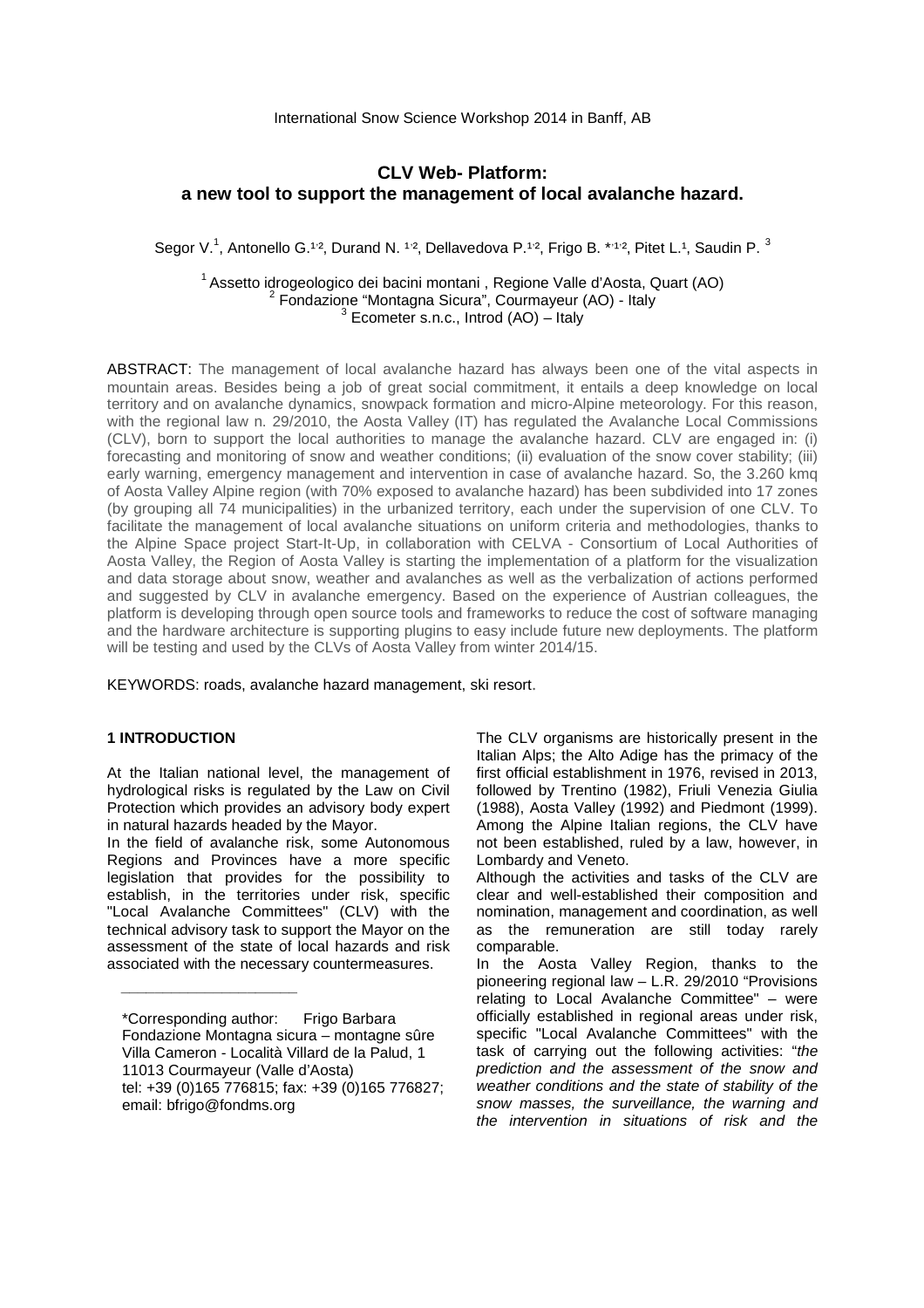# **CLV Web- Platform: a new tool to support the management of local avalanche hazard.**

Segor V.<sup>1</sup>, Antonello G.<sup>1,2</sup>, Durand N. <sup>1,2</sup>, Dellavedova P.<sup>1,2</sup>, Frigo B. \*1<sup>1,2</sup>, Pitet L.<sup>1</sup>, Saudin P. <sup>3</sup>

 $1$ Assetto idrogeologico dei bacini montani , Regione Valle d'Aosta, Quart (AO) <sup>2</sup> Fondazione "Montagna Sicura", Courmayeur (AO) - Italy  $3$  Ecometer s.n.c., Introd (AO) – Italy

ABSTRACT: The management of local avalanche hazard has always been one of the vital aspects in mountain areas. Besides being a job of great social commitment, it entails a deep knowledge on local territory and on avalanche dynamics, snowpack formation and micro-Alpine meteorology. For this reason, with the regional law n. 29/2010, the Aosta Valley (IT) has regulated the Avalanche Local Commissions (CLV), born to support the local authorities to manage the avalanche hazard. CLV are engaged in: (i) forecasting and monitoring of snow and weather conditions; (ii) evaluation of the snow cover stability; (iii) early warning, emergency management and intervention in case of avalanche hazard. So, the 3.260 kmq of Aosta Valley Alpine region (with 70% exposed to avalanche hazard) has been subdivided into 17 zones (by grouping all 74 municipalities) in the urbanized territory, each under the supervision of one CLV. To facilitate the management of local avalanche situations on uniform criteria and methodologies, thanks to the Alpine Space project Start-It-Up, in collaboration with CELVA - Consortium of Local Authorities of Aosta Valley, the Region of Aosta Valley is starting the implementation of a platform for the visualization and data storage about snow, weather and avalanches as well as the verbalization of actions performed and suggested by CLV in avalanche emergency. Based on the experience of Austrian colleagues, the platform is developing through open source tools and frameworks to reduce the cost of software managing and the hardware architecture is supporting plugins to easy include future new deployments. The platform will be testing and used by the CLVs of Aosta Valley from winter 2014/15.

KEYWORDS: roads, avalanche hazard management, ski resort.

#### **1 INTRODUCTION**

At the Italian national level, the management of hydrological risks is regulated by the Law on Civil Protection which provides an advisory body expert in natural hazards headed by the Mayor.

In the field of avalanche risk, some Autonomous Regions and Provinces have a more specific legislation that provides for the possibility to establish, in the territories under risk, specific "Local Avalanche Committees" (CLV) with the technical advisory task to support the Mayor on the assessment of the state of local hazards and risk associated with the necessary countermeasures.

\_\_\_\_\_\_\_\_\_\_\_\_\_\_\_\_\_\_\_\_\_

The CLV organisms are historically present in the Italian Alps; the Alto Adige has the primacy of the first official establishment in 1976, revised in 2013, followed by Trentino (1982), Friuli Venezia Giulia (1988), Aosta Valley (1992) and Piedmont (1999). Among the Alpine Italian regions, the CLV have not been established, ruled by a law, however, in Lombardy and Veneto.

Although the activities and tasks of the CLV are clear and well-established their composition and nomination, management and coordination, as well as the remuneration are still today rarely comparable.

In the Aosta Valley Region, thanks to the pioneering regional law – L.R. 29/2010 "Provisions relating to Local Avalanche Committee" – were officially established in regional areas under risk, specific "Local Avalanche Committees" with the task of carrying out the following activities: "the prediction and the assessment of the snow and weather conditions and the state of stability of the snow masses, the surveillance, the warning and the intervention in situations of risk and the

<sup>\*</sup>Corresponding author: Frigo Barbara Fondazione Montagna sicura – montagne sûre Villa Cameron - Località Villard de la Palud, 1 11013 Courmayeur (Valle d'Aosta) tel: +39 (0)165 776815; fax: +39 (0)165 776827; email: bfrigo@fondms.org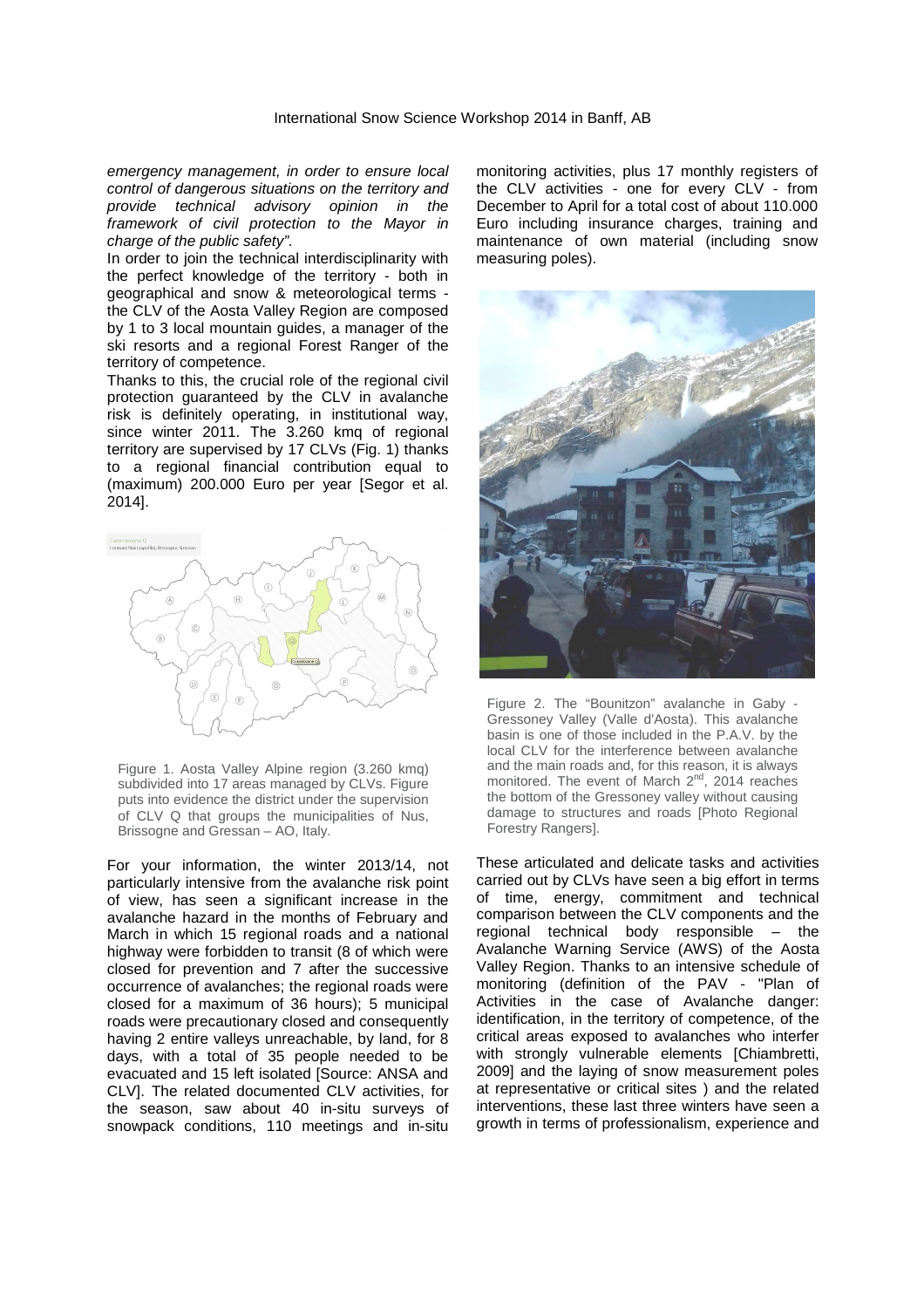emergency management, in order to ensure local control of dangerous situations on the territory and provide technical advisory opinion in the framework of civil protection to the Mayor in charge of the public safety".

In order to join the technical interdisciplinarity with the perfect knowledge of the territory - both in geographical and snow & meteorological terms the CLV of the Aosta Valley Region are composed by 1 to 3 local mountain guides, a manager of the ski resorts and a regional Forest Ranger of the territory of competence.

Thanks to this, the crucial role of the regional civil protection guaranteed by the CLV in avalanche risk is definitely operating, in institutional way, since winter 2011. The 3.260 kmq of regional territory are supervised by 17 CLVs (Fig. 1) thanks to a regional financial contribution equal to (maximum) 200.000 Euro per year [Segor et al. 2014].



Figure 1. Aosta Valley Alpine region (3.260 kmq) subdivided into 17 areas managed by CLVs. Figure puts into evidence the district under the supervision of CLV Q that groups the municipalities of Nus, Brissogne and Gressan – AO, Italy.

For your information, the winter 2013/14, not particularly intensive from the avalanche risk point of view, has seen a significant increase in the avalanche hazard in the months of February and March in which 15 regional roads and a national highway were forbidden to transit (8 of which were closed for prevention and 7 after the successive occurrence of avalanches; the regional roads were closed for a maximum of 36 hours); 5 municipal roads were precautionary closed and consequently having 2 entire valleys unreachable, by land, for 8 days, with a total of 35 people needed to be evacuated and 15 left isolated [Source: ANSA and CLV]. The related documented CLV activities, for the season, saw about 40 in-situ surveys of snowpack conditions, 110 meetings and in-situ

monitoring activities, plus 17 monthly registers of the CLV activities - one for every CLV - from December to April for a total cost of about 110.000 Euro including insurance charges, training and maintenance of own material (including snow measuring poles).



Figure 2. The "Bounitzon" avalanche in Gaby - Gressoney Valley (Valle d'Aosta). This avalanche basin is one of those included in the P.A.V. by the local CLV for the interference between avalanche and the main roads and, for this reason, it is always monitored. The event of March  $2^{nd}$ , 2014 reaches the bottom of the Gressoney valley without causing damage to structures and roads [Photo Regional Forestry Rangers].

These articulated and delicate tasks and activities carried out by CLVs have seen a big effort in terms of time, energy, commitment and technical comparison between the CLV components and the regional technical body responsible – the Avalanche Warning Service (AWS) of the Aosta Valley Region. Thanks to an intensive schedule of monitoring (definition of the PAV - "Plan of Activities in the case of Avalanche danger: identification, in the territory of competence, of the critical areas exposed to avalanches who interfer with strongly vulnerable elements [Chiambretti, 2009] and the laying of snow measurement poles at representative or critical sites ) and the related interventions, these last three winters have seen a growth in terms of professionalism, experience and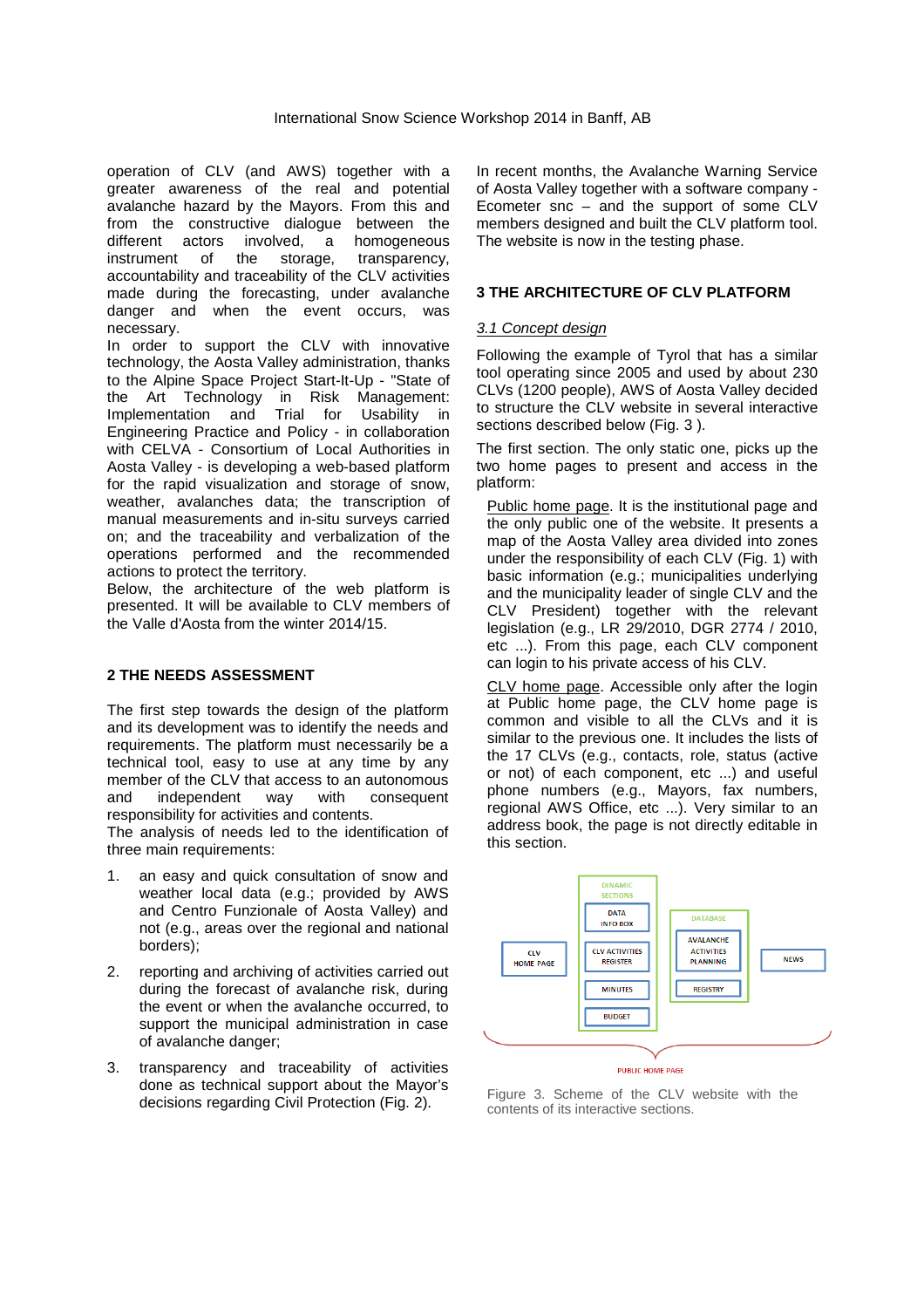operation of CLV (and AWS) together with a greater awareness of the real and potential avalanche hazard by the Mayors. From this and from the constructive dialogue between the different actors involved, a homogeneous instrument of the storage, transparency, accountability and traceability of the CLV activities made during the forecasting, under avalanche danger and when the event occurs, was necessary.

In order to support the CLV with innovative technology, the Aosta Valley administration, thanks to the Alpine Space Project Start-It-Up - "State of the Art Technology in Risk Management: Implementation and Trial for Usability in Engineering Practice and Policy - in collaboration with CELVA - Consortium of Local Authorities in Aosta Valley - is developing a web-based platform for the rapid visualization and storage of snow, weather, avalanches data; the transcription of manual measurements and in-situ surveys carried on; and the traceability and verbalization of the operations performed and the recommended actions to protect the territory.

Below, the architecture of the web platform is presented. It will be available to CLV members of the Valle d'Aosta from the winter 2014/15.

# **2 THE NEEDS ASSESSMENT**

The first step towards the design of the platform and its development was to identify the needs and requirements. The platform must necessarily be a technical tool, easy to use at any time by any member of the CLV that access to an autonomous and independent way with consequent responsibility for activities and contents.

The analysis of needs led to the identification of three main requirements:

- an easy and quick consultation of snow and weather local data (e.g.; provided by AWS and Centro Funzionale of Aosta Valley) and not (e.g., areas over the regional and national borders);
- 2. reporting and archiving of activities carried out during the forecast of avalanche risk, during the event or when the avalanche occurred, to support the municipal administration in case of avalanche danger;
- 3. transparency and traceability of activities done as technical support about the Mayor's decisions regarding Civil Protection (Fig. 2).

In recent months, the Avalanche Warning Service of Aosta Valley together with a software company - Ecometer snc – and the support of some CLV members designed and built the CLV platform tool. The website is now in the testing phase.

## **3 THE ARCHITECTURE OF CLV PLATFORM**

## 3.1 Concept design

Following the example of Tyrol that has a similar tool operating since 2005 and used by about 230 CLVs (1200 people), AWS of Aosta Valley decided to structure the CLV website in several interactive sections described below (Fig. 3).

The first section. The only static one, picks up the two home pages to present and access in the platform:

Public home page. It is the institutional page and the only public one of the website. It presents a map of the Aosta Valley area divided into zones under the responsibility of each CLV (Fig. 1) with basic information (e.g.; municipalities underlying and the municipality leader of single CLV and the CLV President) together with the relevant legislation (e.g., LR 29/2010, DGR 2774 / 2010, etc ...). From this page, each CLV component can login to his private access of his CLV.

CLV home page. Accessible only after the login at Public home page, the CLV home page is common and visible to all the CLVs and it is similar to the previous one. It includes the lists of the 17 CLVs (e.g., contacts, role, status (active or not) of each component, etc ...) and useful phone numbers (e.g., Mayors, fax numbers, regional AWS Office, etc ...). Very similar to an address book, the page is not directly editable in this section.



Figure 3. Scheme of the CLV website with the contents of its interactive sections.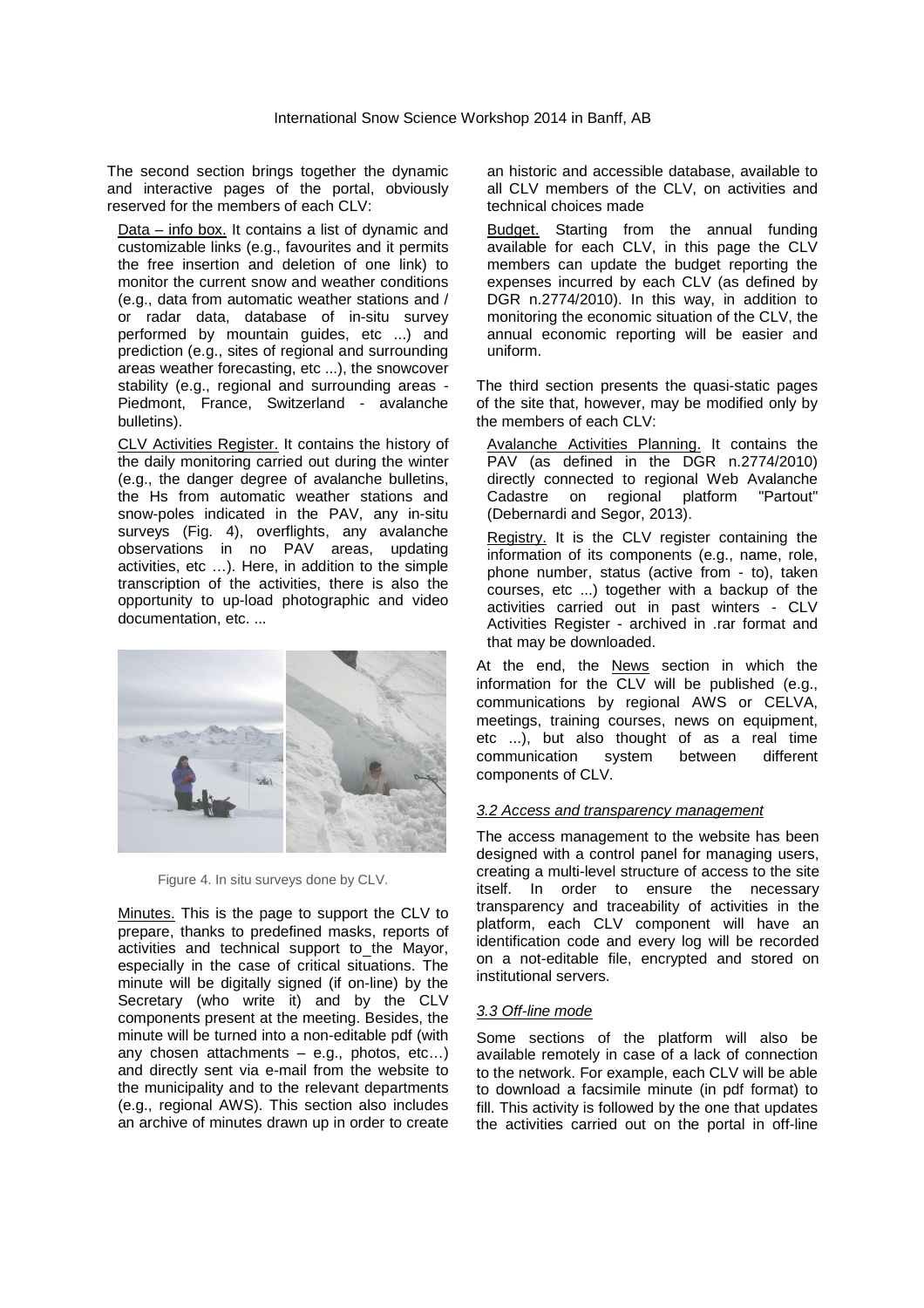The second section brings together the dynamic and interactive pages of the portal, obviously reserved for the members of each CLV:

Data – info box. It contains a list of dynamic and customizable links (e.g., favourites and it permits the free insertion and deletion of one link) to monitor the current snow and weather conditions (e.g., data from automatic weather stations and / or radar data, database of in-situ survey performed by mountain guides, etc ...) and prediction (e.g., sites of regional and surrounding areas weather forecasting, etc ...), the snowcover stability (e.g., regional and surrounding areas - Piedmont, France, Switzerland - avalanche bulletins).

CLV Activities Register. It contains the history of the daily monitoring carried out during the winter (e.g., the danger degree of avalanche bulletins, the Hs from automatic weather stations and snow-poles indicated in the PAV, any in-situ surveys (Fig. 4), overflights, any avalanche observations in no PAV areas, updating activities, etc …). Here, in addition to the simple transcription of the activities, there is also the opportunity to up-load photographic and video documentation, etc. ...



Figure 4. In situ surveys done by CLV.

Minutes. This is the page to support the CLV to prepare, thanks to predefined masks, reports of activities and technical support to the Mayor, especially in the case of critical situations. The minute will be digitally signed (if on-line) by the Secretary (who write it) and by the CLV components present at the meeting. Besides, the minute will be turned into a non-editable pdf (with any chosen attachments – e.g., photos, etc…) and directly sent via e-mail from the website to the municipality and to the relevant departments (e.g., regional AWS). This section also includes an archive of minutes drawn up in order to create an historic and accessible database, available to all CLV members of the CLV, on activities and technical choices made

**Budget.** Starting from the annual funding available for each CLV, in this page the CLV members can update the budget reporting the expenses incurred by each CLV (as defined by DGR n.2774/2010). In this way, in addition to monitoring the economic situation of the CLV, the annual economic reporting will be easier and uniform.

The third section presents the quasi-static pages of the site that, however, may be modified only by the members of each CLV:

Avalanche Activities Planning. It contains the PAV (as defined in the DGR n.2774/2010) directly connected to regional Web Avalanche Cadastre on regional platform "Partout" (Debernardi and Segor, 2013).

Registry. It is the CLV register containing the information of its components (e.g., name, role, phone number, status (active from - to), taken courses, etc ...) together with a backup of the activities carried out in past winters - CLV Activities Register - archived in .rar format and that may be downloaded.

At the end, the News section in which the information for the CLV will be published (e.g., communications by regional AWS or CELVA, meetings, training courses, news on equipment, etc ...), but also thought of as a real time communication system between different components of CLV.

## 3.2 Access and transparency management

The access management to the website has been designed with a control panel for managing users, creating a multi-level structure of access to the site itself. In order to ensure the necessary transparency and traceability of activities in the platform, each CLV component will have an identification code and every log will be recorded on a not-editable file, encrypted and stored on institutional servers.

## 3.3 Off-line mode

Some sections of the platform will also be available remotely in case of a lack of connection to the network. For example, each CLV will be able to download a facsimile minute (in pdf format) to fill. This activity is followed by the one that updates the activities carried out on the portal in off-line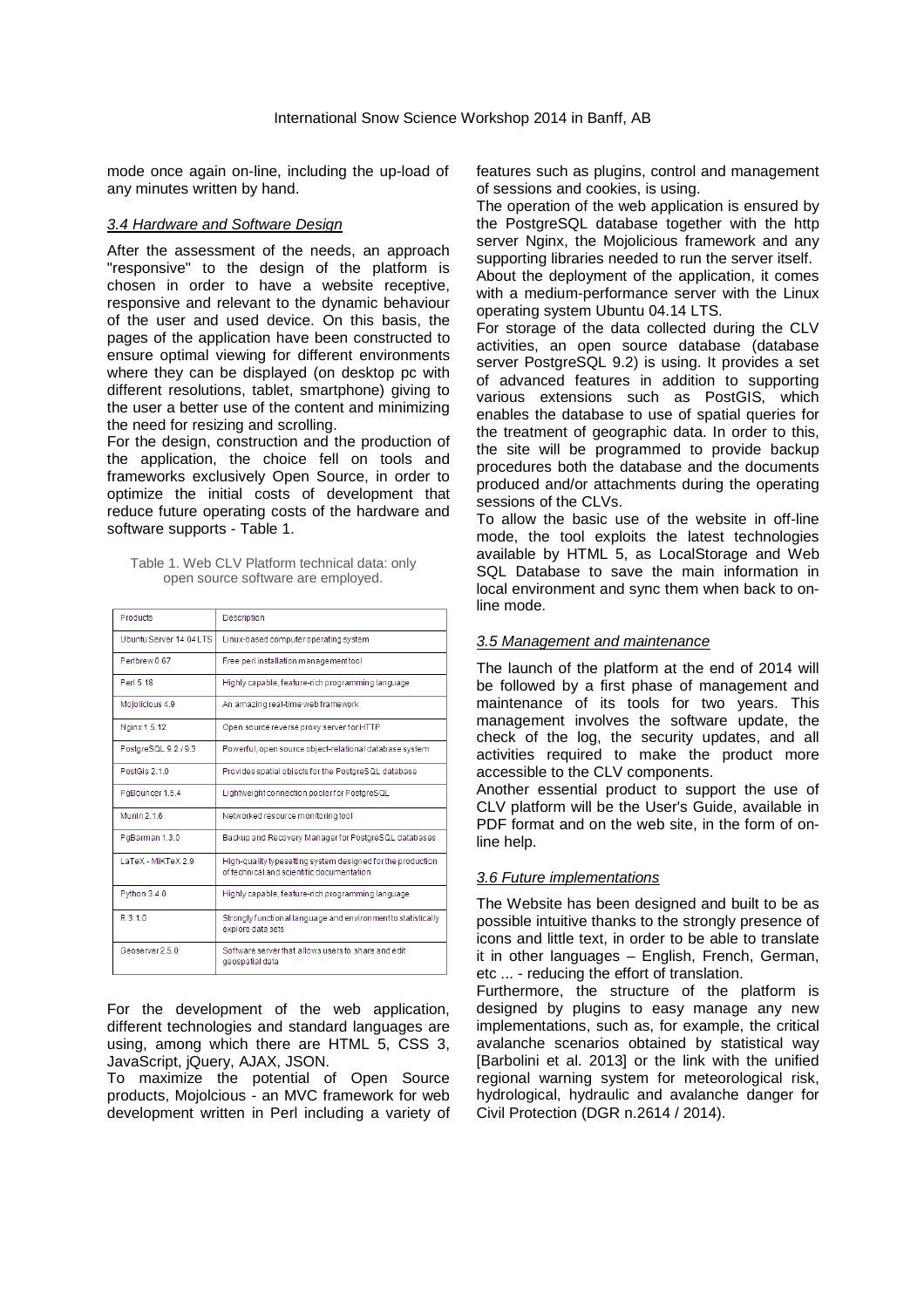mode once again on-line, including the up-load of any minutes written by hand.

## 3.4 Hardware and Software Design

After the assessment of the needs, an approach "responsive" to the design of the platform is chosen in order to have a website receptive, responsive and relevant to the dynamic behaviour of the user and used device. On this basis, the pages of the application have been constructed to ensure optimal viewing for different environments where they can be displayed (on desktop pc with different resolutions, tablet, smartphone) giving to the user a better use of the content and minimizing the need for resizing and scrolling.

For the design, construction and the production of the application, the choice fell on tools and frameworks exclusively Open Source, in order to optimize the initial costs of development that reduce future operating costs of the hardware and software supports - Table 1.

| Table 1. Web CLV Platform technical data: only |  |
|------------------------------------------------|--|
| open source software are employed.             |  |

| <b>Products</b>         | Description                                                                                              |
|-------------------------|----------------------------------------------------------------------------------------------------------|
| Ubuntu Server 14.04 LTS | Linux-based computer operating system                                                                    |
| Perlbrew 0.67           | Free perl installation management tool                                                                   |
| Perl 5 18               | Highly capable, feature-rich programming language                                                        |
| Mojolicious 4.9         | An amazing real-time web framework                                                                       |
| Nginx 1.5.12            | Open source reverse proxy server for HTTP                                                                |
| PostgreSQL 9.2 / 9.3    | Powerful, open source object-relational database system                                                  |
| PostGis 2 1 0           | Provides spatial objects for the PostgreSQL database                                                     |
| PgBouncer 1.5.4         | Lightweight connection pooler for PostgreSQL                                                             |
| <b>Munin 2.1.6</b>      | Networked resource monitoring tool                                                                       |
| PqBarman 1.3.0          | Backup and Recovery Manager for PostgreSQL databases                                                     |
| LaTeX - MiKTeX 2.9      | High-quality typesetting system designed for the production<br>of technical and scientific documentation |
| Python 3.4.0            | Highly capable, feature-rich programming language                                                        |
| R310                    | Strongly functional language and environment to statistically<br>explore data sets                       |
| Geoserver 2.5.0         | Software server that allows users to share and edit<br>geospatial data                                   |

For the development of the web application, different technologies and standard languages are using, among which there are HTML 5, CSS 3, JavaScript, jQuery, AJAX, JSON.

To maximize the potential of Open Source products, Mojolcious - an MVC framework for web development written in Perl including a variety of features such as plugins, control and management of sessions and cookies, is using.

The operation of the web application is ensured by the PostgreSQL database together with the http server Nginx, the Mojolicious framework and any supporting libraries needed to run the server itself.

About the deployment of the application, it comes with a medium-performance server with the Linux operating system Ubuntu 04.14 LTS.

For storage of the data collected during the CLV activities, an open source database (database server PostgreSQL 9.2) is using. It provides a set of advanced features in addition to supporting various extensions such as PostGIS, which enables the database to use of spatial queries for the treatment of geographic data. In order to this, the site will be programmed to provide backup procedures both the database and the documents produced and/or attachments during the operating sessions of the CLVs.

To allow the basic use of the website in off-line mode, the tool exploits the latest technologies available by HTML 5, as LocalStorage and Web SQL Database to save the main information in local environment and sync them when back to online mode.

## 3.5 Management and maintenance

The launch of the platform at the end of 2014 will be followed by a first phase of management and maintenance of its tools for two years. This management involves the software update, the check of the log, the security updates, and all activities required to make the product more accessible to the CLV components.

Another essential product to support the use of CLV platform will be the User's Guide, available in PDF format and on the web site, in the form of online help.

## 3.6 Future implementations

The Website has been designed and built to be as possible intuitive thanks to the strongly presence of icons and little text, in order to be able to translate it in other languages – English, French, German, etc ... - reducing the effort of translation.

Furthermore, the structure of the platform is designed by plugins to easy manage any new implementations, such as, for example, the critical avalanche scenarios obtained by statistical way [Barbolini et al. 2013] or the link with the unified regional warning system for meteorological risk, hydrological, hydraulic and avalanche danger for Civil Protection (DGR n.2614 / 2014).